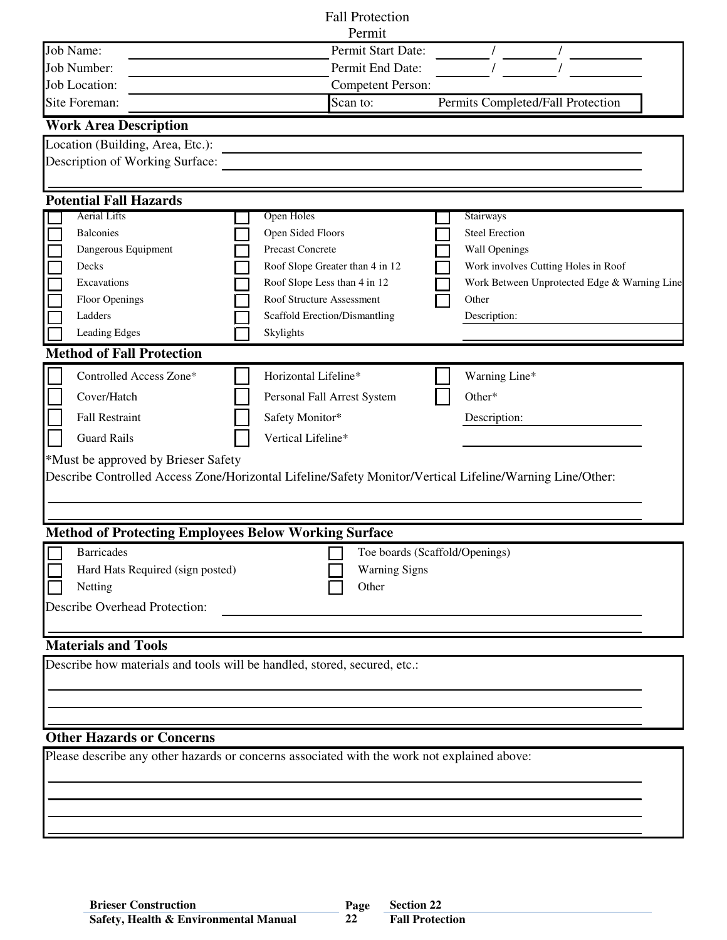| <b>Fall Protection</b>                                                                                   |                                               |                                              |  |  |  |  |
|----------------------------------------------------------------------------------------------------------|-----------------------------------------------|----------------------------------------------|--|--|--|--|
|                                                                                                          | Permit                                        |                                              |  |  |  |  |
| Job Name:                                                                                                | Permit Start Date:                            |                                              |  |  |  |  |
| Job Number:                                                                                              | Permit End Date:                              |                                              |  |  |  |  |
| Job Location:                                                                                            | <b>Competent Person:</b>                      |                                              |  |  |  |  |
| Site Foreman:                                                                                            | Scan to:<br>Permits Completed/Fall Protection |                                              |  |  |  |  |
| <b>Work Area Description</b>                                                                             |                                               |                                              |  |  |  |  |
| Location (Building, Area, Etc.):                                                                         |                                               |                                              |  |  |  |  |
| Description of Working Surface:                                                                          |                                               |                                              |  |  |  |  |
|                                                                                                          |                                               |                                              |  |  |  |  |
| <b>Potential Fall Hazards</b>                                                                            |                                               |                                              |  |  |  |  |
| <b>Aerial Lifts</b>                                                                                      | Open Holes                                    | Stairways                                    |  |  |  |  |
| <b>Balconies</b><br>Dangerous Equipment                                                                  | Open Sided Floors<br>Precast Concrete         | <b>Steel Erection</b><br>Wall Openings       |  |  |  |  |
| Decks                                                                                                    | Roof Slope Greater than 4 in 12               | Work involves Cutting Holes in Roof          |  |  |  |  |
| Excavations                                                                                              | Roof Slope Less than 4 in 12                  | Work Between Unprotected Edge & Warning Line |  |  |  |  |
| Floor Openings                                                                                           | Roof Structure Assessment                     | Other                                        |  |  |  |  |
| Ladders                                                                                                  | Scaffold Erection/Dismantling                 | Description:                                 |  |  |  |  |
| Leading Edges                                                                                            | Skylights                                     |                                              |  |  |  |  |
| <b>Method of Fall Protection</b>                                                                         |                                               |                                              |  |  |  |  |
|                                                                                                          |                                               |                                              |  |  |  |  |
| Controlled Access Zone*                                                                                  | Horizontal Lifeline*                          | Warning Line*                                |  |  |  |  |
| Cover/Hatch                                                                                              | Personal Fall Arrest System                   | Other*                                       |  |  |  |  |
| <b>Fall Restraint</b>                                                                                    | Safety Monitor*                               | Description:                                 |  |  |  |  |
| <b>Guard Rails</b>                                                                                       | Vertical Lifeline*                            |                                              |  |  |  |  |
| *Must be approved by Brieser Safety                                                                      |                                               |                                              |  |  |  |  |
| Describe Controlled Access Zone/Horizontal Lifeline/Safety Monitor/Vertical Lifeline/Warning Line/Other: |                                               |                                              |  |  |  |  |
|                                                                                                          |                                               |                                              |  |  |  |  |
|                                                                                                          |                                               |                                              |  |  |  |  |
| <b>Method of Protecting Employees Below Working Surface</b>                                              |                                               |                                              |  |  |  |  |
| <b>Barricades</b><br>Toe boards (Scaffold/Openings)                                                      |                                               |                                              |  |  |  |  |
| Hard Hats Required (sign posted)                                                                         | <b>Warning Signs</b>                          |                                              |  |  |  |  |
| Other<br>Netting                                                                                         |                                               |                                              |  |  |  |  |
| <b>Describe Overhead Protection:</b>                                                                     |                                               |                                              |  |  |  |  |
|                                                                                                          |                                               |                                              |  |  |  |  |
| <b>Materials and Tools</b>                                                                               |                                               |                                              |  |  |  |  |
| Describe how materials and tools will be handled, stored, secured, etc.:                                 |                                               |                                              |  |  |  |  |
|                                                                                                          |                                               |                                              |  |  |  |  |
|                                                                                                          |                                               |                                              |  |  |  |  |
|                                                                                                          |                                               |                                              |  |  |  |  |
|                                                                                                          |                                               |                                              |  |  |  |  |
| <b>Other Hazards or Concerns</b>                                                                         |                                               |                                              |  |  |  |  |
| Please describe any other hazards or concerns associated with the work not explained above:              |                                               |                                              |  |  |  |  |
|                                                                                                          |                                               |                                              |  |  |  |  |
|                                                                                                          |                                               |                                              |  |  |  |  |
|                                                                                                          |                                               |                                              |  |  |  |  |
|                                                                                                          |                                               |                                              |  |  |  |  |

**22**